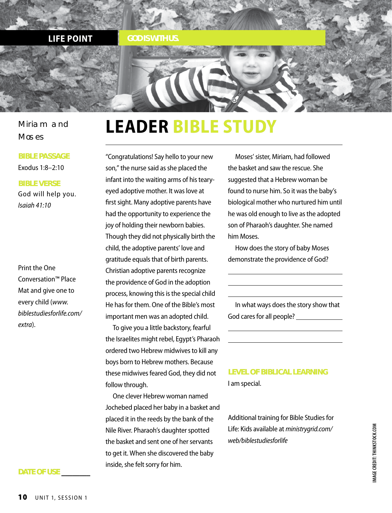

Miriam and **Moses** 

#### **BIBLE PASSAGE**

Exodus 1:8–2:10

### **BIBLE VERSE**

God will help you. *Isaiah 41:10*

Print the One Conversation™ Place Mat and give one to every child (*www. biblestudiesforlife.com/ extra*).

# **LEADER BIBLE STUDY**

"Congratulations! Say hello to your new son," the nurse said as she placed the infant into the waiting arms of his tearyeyed adoptive mother. It was love at first sight. Many adoptive parents have had the opportunity to experience the joy of holding their newborn babies. Though they did not physically birth the child, the adoptive parents' love and gratitude equals that of birth parents. Christian adoptive parents recognize the providence of God in the adoption process, knowing this is the special child He has for them. One of the Bible's most important men was an adopted child.

To give you a little backstory, fearful the Israelites might rebel, Egypt's Pharaoh ordered two Hebrew midwives to kill any boys born to Hebrew mothers. Because these midwives feared God, they did not follow through.

One clever Hebrew woman named Jochebed placed her baby in a basket and placed it in the reeds by the bank of the Nile River. Pharaoh's daughter spotted the basket and sent one of her servants to get it. When she discovered the baby inside, she felt sorry for him.

Moses' sister, Miriam, had followed the basket and saw the rescue. She suggested that a Hebrew woman be found to nurse him. So it was the baby's biological mother who nurtured him until he was old enough to live as the adopted son of Pharaoh's daughter. She named him Moses.

How does the story of baby Moses demonstrate the providence of God?

In what ways does the story show that God cares for all people?

**LEVEL OF BIBLICAL LEARNING** I am special.

Additional training for Bible Studies for Life: Kids available at *ministrygrid.com/ web/biblestudiesforlife*

#### **DATE OF USE \_\_\_\_\_\_\_\_**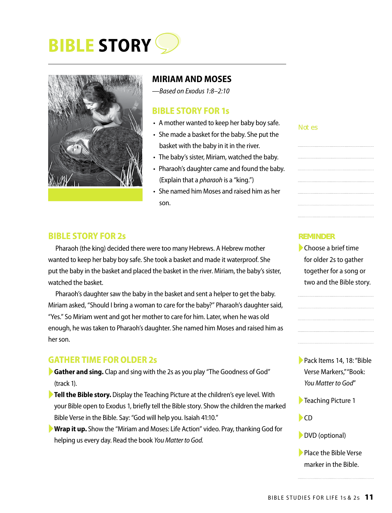# **BIBLE STORY**



# **MIRIAM AND MOSES**

*—Based on Exodus 1:8–2:10*

# **BIBLE STORY FOR 1s**

- A mother wanted to keep her baby boy safe.
- She made a basket for the baby. She put the basket with the baby in it in the river.
- The baby's sister, Miriam, watched the baby.
- Pharaoh's daughter came and found the baby. (Explain that a *pharaoh* is a "king.")
- She named him Moses and raised him as her son.

#### Not es

## **BIBLE STORY FOR 2s**

Pharaoh (the king) decided there were too many Hebrews. A Hebrew mother wanted to keep her baby boy safe. She took a basket and made it waterproof. She put the baby in the basket and placed the basket in the river. Miriam, the baby's sister, watched the basket.

Pharaoh's daughter saw the baby in the basket and sent a helper to get the baby. Miriam asked, "Should I bring a woman to care for the baby?" Pharaoh's daughter said, "Yes." So Miriam went and got her mother to care for him. Later, when he was old enough, he was taken to Pharaoh's daughter. She named him Moses and raised him as her son.

# **GATHER TIME FOR OLDER 2s**

- ►**Gather and sing.** Clap and sing with the 2s as you play "The Goodness of God" (track 1).
- ►**Tell the Bible story.** Display the Teaching Picture at the children's eye level. With your Bible open to Exodus 1, briefly tell the Bible story. Show the children the marked Bible Verse in the Bible. Say: "God will help you. Isaiah 41:10."
- ►**Wrap it up.** Show the "Miriam and Moses: Life Action" video. Pray, thanking God for helping us every day. Read the book *You Matter to God.*

### **REMINDER**

►Choose a brief time for older 2s to gather together for a song or two and the Bible story.

- ►Pack Items 14, 18: "Bible Verse Markers," "Book: *You Matter to God*"
- ►Teaching Picture 1
- $\blacktriangleright$ CD
- ►DVD (optional)
- ▶ Place the Bible Verse marker in the Bible.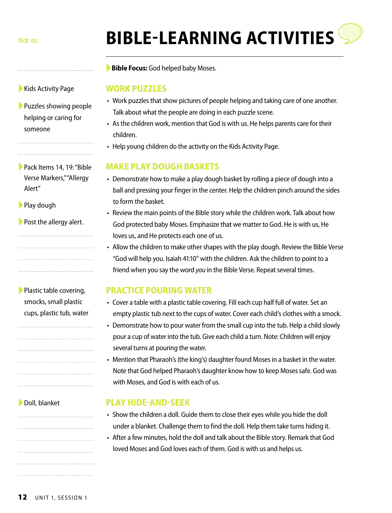**12** UNIT 1, SESSION 1

►Doll, blanket

# **BIBLE-LEARNING ACTIVITIES**

►**Bible Focus:** God helped baby Moses.

# **WORK PUZZLES**

- Work puzzles that show pictures of people helping and taking care of one another. Talk about what the people are doing in each puzzle scene.
- As the children work, mention that God is with us. He helps parents care for their children.
- Help young children do the activity on the Kids Activity Page.

# **MAKE PLAY DOUGH BASKETS**

- Demonstrate how to make a play dough basket by rolling a piece of dough into a ball and pressing your finger in the center. Help the children pinch around the sides to form the basket.
- Review the main points of the Bible story while the children work. Talk about how God protected baby Moses. Emphasize that we matter to God. He is with us, He loves us, and He protects each one of us.
- Allow the children to make other shapes with the play dough. Review the Bible Verse "God will help you. Isaiah 41:10" with the children. Ask the children to point to a friend when you say the word *you* in the Bible Verse. Repeat several times.

# **PRACTICE POURING WATER**

- Cover a table with a plastic table covering. Fill each cup half full of water. Set an empty plastic tub next to the cups of water. Cover each child's clothes with a smock.
- Demonstrate how to pour water from the small cup into the tub. Help a child slowly pour a cup of water into the tub. Give each child a turn. Note: Children will enjoy several turns at pouring the water.
- Mention that Pharaoh's (the king's) daughter found Moses in a basket in the water. Note that God helped Pharaoh's daughter know how to keep Moses safe. God was with Moses, and God is with each of us.

# **PLAY HIDE-AND-SEEK**

- Show the children a doll. Guide them to close their eyes while you hide the doll under a blanket. Challenge them to find the doll. Help them take turns hiding it.
- After a few minutes, hold the doll and talk about the Bible story. Remark that God loved Moses and God loves each of them. God is with us and helps us.

▶ Kids Activity Page

▶ Puzzles showing people helping or caring for someone

| Pack Items 14, 19: "Bible |
|---------------------------|
| Verse Markers," "Allergy  |
| Alert"                    |

▶ Play dough

▶ Post the allergy alert.

| Plastic table covering,  |
|--------------------------|
| smocks, small plastic    |
| cups, plastic tub, water |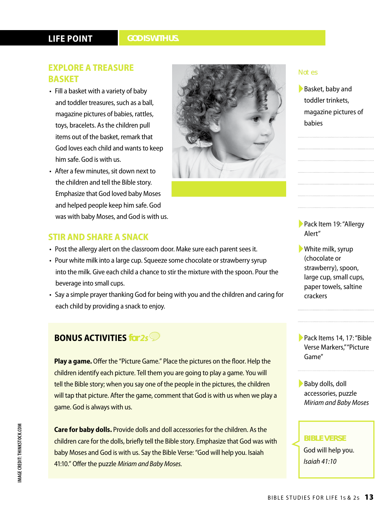# **LIFE POINT**

### *GOD IS WITH US.*

# **EXPLORE A TREASURE BASKET**

- Fill a basket with a variety of baby and toddler treasures, such as a ball, magazine pictures of babies, rattles, toys, bracelets. As the children pull items out of the basket, remark that God loves each child and wants to keep him safe. God is with us.
- After a few minutes, sit down next to the children and tell the Bible story. Emphasize that God loved baby Moses and helped people keep him safe. God was with baby Moses, and God is with us.

# **STIR AND SHARE A SNACK**

- Post the allergy alert on the classroom door. Make sure each parent sees it.
- Pour white milk into a large cup. Squeeze some chocolate or strawberry syrup into the milk. Give each child a chance to stir the mixture with the spoon. Pour the beverage into small cups.
- Say a simple prayer thanking God for being with you and the children and caring for each child by providing a snack to enjoy.

# **BONUS ACTIVITIES** *for 2s*

**Play a game.** Offer the "Picture Game." Place the pictures on the floor. Help the children identify each picture. Tell them you are going to play a game. You will tell the Bible story; when you say one of the people in the pictures, the children will tap that picture. After the game, comment that God is with us when we play a game. God is always with us.

**Care for baby dolls.** Provide dolls and doll accessories for the children. As the children care for the dolls, briefly tell the Bible story. Emphasize that God was with baby Moses and God is with us. Say the Bible Verse: "God will help you. Isaiah 41:10." Offer the puzzle *Miriam and Baby Moses.*



#### Notes

▶Basket, baby and toddler trinkets, magazine pictures of babies

▶ Pack Item 19: "Allergy Alert"

►White milk, syrup (chocolate or strawberry), spoon, large cup, small cups, paper towels, saltine crackers

►Pack Items 14, 17: "Bible Verse Markers," "Picture Game"

▶Baby dolls, doll accessories, puzzle *Miriam and Baby Moses*

## **BIBLE VERSE**

God will help you. *Isaiah 41:10*